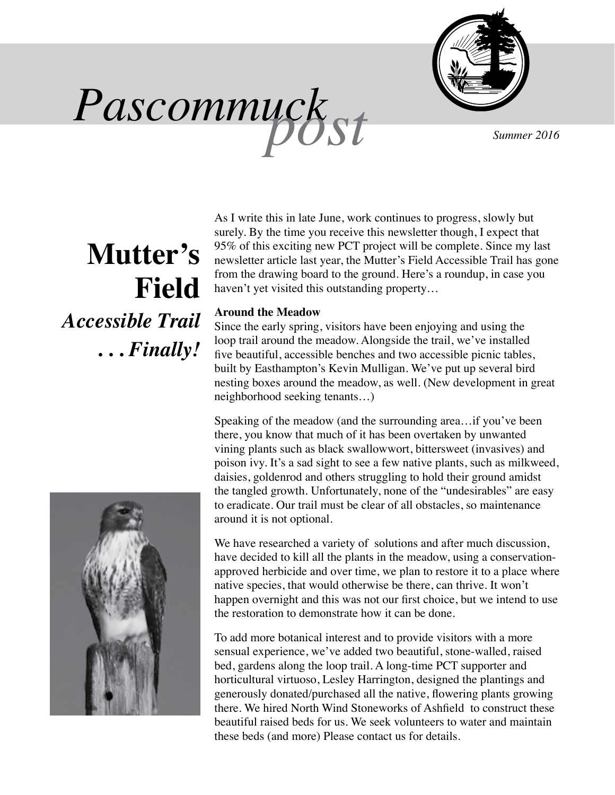

Pascommuck<sub>st</sub>

# **Mutter's Field**  *Accessible Trail* **. . .** *Finally!*

As I write this in late June, work continues to progress, slowly but surely. By the time you receive this newsletter though, I expect that 95% of this exciting new PCT project will be complete. Since my last newsletter article last year, the Mutter's Field Accessible Trail has gone from the drawing board to the ground. Here's a roundup, in case you haven't yet visited this outstanding property…

### **Around the Meadow**

Since the early spring, visitors have been enjoying and using the loop trail around the meadow. Alongside the trail, we've installed five beautiful, accessible benches and two accessible picnic tables, built by Easthampton's Kevin Mulligan. We've put up several bird nesting boxes around the meadow, as well. (New development in great neighborhood seeking tenants…)

Speaking of the meadow (and the surrounding area…if you've been there, you know that much of it has been overtaken by unwanted vining plants such as black swallowwort, bittersweet (invasives) and poison ivy. It's a sad sight to see a few native plants, such as milkweed, daisies, goldenrod and others struggling to hold their ground amidst the tangled growth. Unfortunately, none of the "undesirables" are easy to eradicate. Our trail must be clear of all obstacles, so maintenance around it is not optional.

We have researched a variety of solutions and after much discussion, have decided to kill all the plants in the meadow, using a conservationapproved herbicide and over time, we plan to restore it to a place where native species, that would otherwise be there, can thrive. It won't happen overnight and this was not our first choice, but we intend to use the restoration to demonstrate how it can be done.

To add more botanical interest and to provide visitors with a more sensual experience, we've added two beautiful, stone-walled, raised bed, gardens along the loop trail. A long-time PCT supporter and horticultural virtuoso, Lesley Harrington, designed the plantings and generously donated/purchased all the native, flowering plants growing there. We hired North Wind Stoneworks of Ashfield to construct these beautiful raised beds for us. We seek volunteers to water and maintain these beds (and more) Please contact us for details.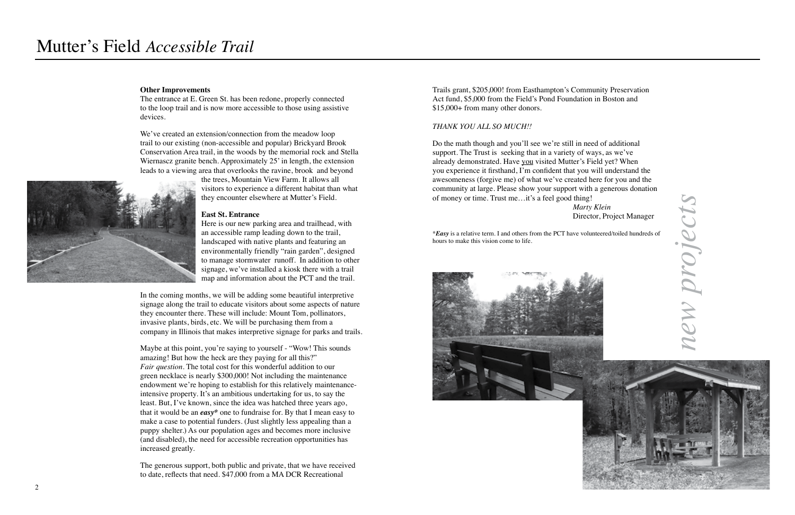

#### **Other Improvements**

The entrance at E. Green St. has been redone, properly connected to the loop trail and is now more accessible to those using assistive devices.

We've created an extension/connection from the meadow loop trail to our existing (non-accessible and popular) Brickyard Brook Conservation Area trail, in the woods by the memorial rock and Stella Wiernascz granite bench. Approximately 25' in length, the extension leads to a viewing area that overlooks the ravine, brook and beyond

the trees, Mountain View Farm. It allows all visitors to experience a different habitat than what they encounter elsewhere at Mutter's Field.

#### **East St. Entrance**

Here is our new parking area and trailhead, with an accessible ramp leading down to the trail, landscaped with native plants and featuring an environmentally friendly "rain garden", designed to manage stormwater runoff. In addition to other signage, we've installed a kiosk there with a trail map and information about the PCT and the trail.

Maybe at this point, you're saying to yourself - "Wow! This sounds" amazing! But how the heck are they paying for all this?" *Fair question.* The total cost for this wonderful addition to our green necklace is nearly \$300,000! Not including the maintenance endowment we're hoping to establish for this relatively maintenanceintensive property. It's an ambitious undertaking for us, to say the least. But, I've known, since the idea was hatched three years ago, that it would be an *easy\** one to fundraise for. By that I mean easy to make a case to potential funders. (Just slightly less appealing than a puppy shelter.) As our population ages and becomes more inclusive (and disabled), the need for accessible recreation opportunities has increased greatly.

*new projects* projeci

In the coming months, we will be adding some beautiful interpretive signage along the trail to educate visitors about some aspects of nature they encounter there. These will include: Mount Tom, pollinators, invasive plants, birds, etc. We will be purchasing them from a company in Illinois that makes interpretive signage for parks and trails.

The generous support, both public and private, that we have received to date, reflects that need. \$47,000 from a MA DCR Recreational

Trails grant, \$205,000! from Easthampton's Community Preservation Act fund, \$5,000 from the Field's Pond Foundation in Boston and \$15,000+ from many other donors.

#### *THANK YOU ALL SO MUCH!!*

Do the math though and you'll see we're still in need of additional support. The Trust is seeking that in a variety of ways, as we've already demonstrated. Have you visited Mutter's Field yet? When you experience it firsthand, I'm confident that you will understand the awesomeness (forgive me) of what we've created here for you and the community at large. Please show your support with a generous donation of money or time. Trust me…it's a feel good thing!  *Marty Klein*  Director, Project Manager

\**Easy* is a relative term. I and others from the PCT have volunteered/toiled hundreds of hours to make this vision come to life.

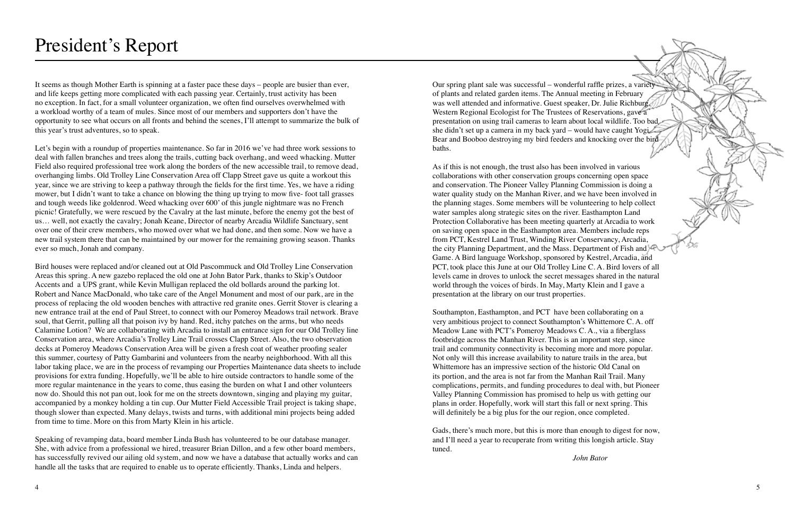It seems as though Mother Earth is spinning at a faster pace these days – people are busier than ever, and life keeps getting more complicated with each passing year. Certainly, trust activity has been no exception. In fact, for a small volunteer organization, we often find ourselves overwhelmed with a workload worthy of a team of mules. Since most of our members and supporters don't have the opportunity to see what occurs on all fronts and behind the scenes, I'll attempt to summarize the bulk of this year's trust adventures, so to speak.

Let's begin with a roundup of properties maintenance. So far in 2016 we've had three work sessions to deal with fallen branches and trees along the trails, cutting back overhang, and weed whacking. Mutter Field also required professional tree work along the borders of the new accessible trail, to remove dead, overhanging limbs. Old Trolley Line Conservation Area off Clapp Street gave us quite a workout this year, since we are striving to keep a pathway through the fields for the first time. Yes, we have a riding mower, but I didn't want to take a chance on blowing the thing up trying to mow five- foot tall grasses and tough weeds like goldenrod. Weed whacking over 600' of this jungle nightmare was no French picnic! Gratefully, we were rescued by the Cavalry at the last minute, before the enemy got the best of us… well, not exactly the cavalry; Jonah Keane, Director of nearby Arcadia Wildlife Sanctuary, sent over one of their crew members, who mowed over what we had done, and then some. Now we have a new trail system there that can be maintained by our mower for the remaining growing season. Thanks ever so much, Jonah and company.

Bird houses were replaced and/or cleaned out at Old Pascommuck and Old Trolley Line Conservation Areas this spring. A new gazebo replaced the old one at John Bator Park, thanks to Skip's Outdoor Accents and a UPS grant, while Kevin Mulligan replaced the old bollards around the parking lot. Robert and Nance MacDonald, who take care of the Angel Monument and most of our park, are in the process of replacing the old wooden benches with attractive red granite ones. Gerrit Stover is clearing a new entrance trail at the end of Paul Street, to connect with our Pomeroy Meadows trail network. Brave soul, that Gerrit, pulling all that poison ivy by hand. Red, itchy patches on the arms, but who needs Calamine Lotion? We are collaborating with Arcadia to install an entrance sign for our Old Trolley line Conservation area, where Arcadia's Trolley Line Trail crosses Clapp Street. Also, the two observation decks at Pomeroy Meadows Conservation Area will be given a fresh coat of weather proofing sealer this summer, courtesy of Patty Gambarini and volunteers from the nearby neighborhood. With all this labor taking place, we are in the process of revamping our Properties Maintenance data sheets to include provisions for extra funding. Hopefully, we'll be able to hire outside contractors to handle some of the more regular maintenance in the years to come, thus easing the burden on what I and other volunteers now do. Should this not pan out, look for me on the streets downtown, singing and playing my guitar, accompanied by a monkey holding a tin cup. Our Mutter Field Accessible Trail project is taking shape, though slower than expected. Many delays, twists and turns, with additional mini projects being added from time to time. More on this from Marty Klein in his article.

Speaking of revamping data, board member Linda Bush has volunteered to be our database manager. She, with advice from a professional we hired, treasurer Brian Dillon, and a few other board members, has successfully revived our ailing old system, and now we have a database that actually works and can handle all the tasks that are required to enable us to operate efficiently. Thanks, Linda and helpers.

Our spring plant sale was successful – wonderful raffle prizes, a variety of plants and related garden items. The Annual meeting in February was well attended and informative. Guest speaker, Dr. Julie Richburg, Western Regional Ecologist for The Trustees of Reservations, gave a presentation on using trail cameras to learn about local wildlife. Too bad she didn't set up a camera in my back yard – would have caught Yogi Bear and Booboo destroying my bird feeders and knocking over the bird baths.

As if this is not enough, the trust also has been involved in various collaborations with other conservation groups concerning open space and conservation. The Pioneer Valley Planning Commission is doing a water quality study on the Manhan River, and we have been involved in the planning stages. Some members will be volunteering to help collect water samples along strategic sites on the river. Easthampton Land Protection Collaborative has been meeting quarterly at Arcadia to work on saving open space in the Easthampton area. Members include reps from PCT, Kestrel Land Trust, Winding River Conservancy, Arcadia, the city Planning Department, and the Mass. Department of Fish and Game. A Bird language Workshop, sponsored by Kestrel, Arcadia, and PCT, took place this June at our Old Trolley Line C. A. Bird lovers of all levels came in droves to unlock the secret messages shared in the natural world through the voices of birds. In May, Marty Klein and I gave a presentation at the library on our trust properties.

Southampton, Easthampton, and PCT have been collaborating on a very ambitious project to connect Southampton's Whittemore C. A. off Meadow Lane with PCT's Pomeroy Meadows C. A., via a fiberglass footbridge across the Manhan River. This is an important step, since trail and community connectivity is becoming more and more popular. Not only will this increase availability to nature trails in the area, but Whittemore has an impressive section of the historic Old Canal on its portion, and the area is not far from the Manhan Rail Trail. Many complications, permits, and funding procedures to deal with, but Pioneer Valley Planning Commission has promised to help us with getting our plans in order. Hopefully, work will start this fall or next spring. This will definitely be a big plus for the our region, once completed.

Gads, there's much more, but this is more than enough to digest for now, and I'll need a year to recuperate from writing this longish article. Stay tuned.

*John Bator*

# President's Report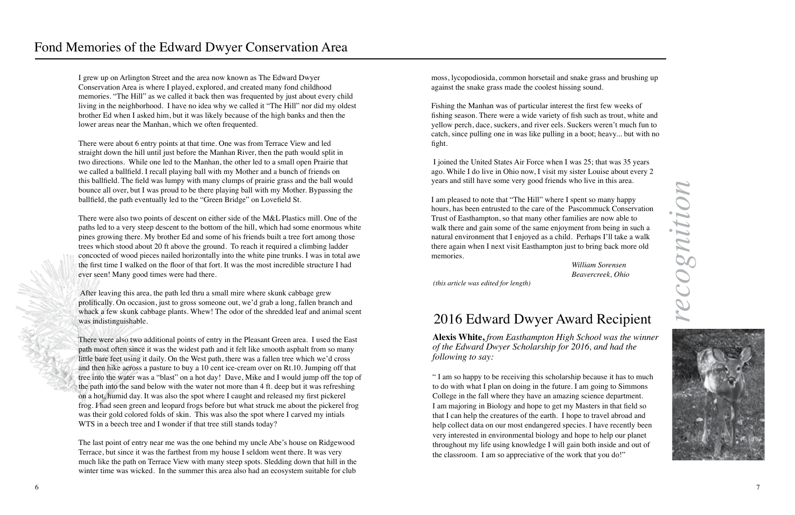I grew up on Arlington Street and the area now known as The Edward Dwyer Conservation Area is where I played, explored, and created many fond childhood memories. "The Hill" as we called it back then was frequented by just about every child living in the neighborhood. I have no idea why we called it "The Hill" nor did my oldest brother Ed when I asked him, but it was likely because of the high banks and then the lower areas near the Manhan, which we often frequented.

There were about 6 entry points at that time. One was from Terrace View and led straight down the hill until just before the Manhan River, then the path would split in two directions. While one led to the Manhan, the other led to a small open Prairie that we called a ballfield. I recall playing ball with my Mother and a bunch of friends on this ballfield. The field was lumpy with many clumps of prairie grass and the ball would bounce all over, but I was proud to be there playing ball with my Mother. Bypassing the ballfield, the path eventually led to the "Green Bridge" on Lovefield St.

There were also two points of descent on either side of the M&L Plastics mill. One of the paths led to a very steep descent to the bottom of the hill, which had some enormous white pines growing there. My brother Ed and some of his friends built a tree fort among those trees which stood about 20 ft above the ground. To reach it required a climbing ladder concocted of wood pieces nailed horizontally into the white pine trunks. I was in total awe the first time I walked on the floor of that fort. It was the most incredible structure I had ever seen! Many good times were had there.

*recognition* recognitior



 After leaving this area, the path led thru a small mire where skunk cabbage grew prolifically. On occasion, just to gross someone out, we'd grab a long, fallen branch and whack a few skunk cabbage plants. Whew! The odor of the shredded leaf and animal scent was indistinguishable.

There were also two additional points of entry in the Pleasant Green area. I used the East path most often since it was the widest path and it felt like smooth asphalt from so many little bare feet using it daily. On the West path, there was a fallen tree which we'd cross and then hike across a pasture to buy a 10 cent ice-cream over on Rt.10. Jumping off that tree into the water was a "blast" on a hot day! Dave, Mike and I would jump off the top of the path into the sand below with the water not more than 4 ft. deep but it was refreshing on a hot, humid day. It was also the spot where I caught and released my first pickerel frog. I had seen green and leopard frogs before but what struck me about the pickerel frog was their gold colored folds of skin. This was also the spot where I carved my intials WTS in a beech tree and I wonder if that tree still stands today?

The last point of entry near me was the one behind my uncle Abe's house on Ridgewood Terrace, but since it was the farthest from my house I seldom went there. It was very much like the path on Terrace View with many steep spots. Sledding down that hill in the winter time was wicked. In the summer this area also had an ecosystem suitable for club

**Alexis White,** *from Easthampton High School was the winner of the Edward Dwyer Scholarship for 2016, and had the following to say:* 

" I am so happy to be receiving this scholarship because it has to much to do with what I plan on doing in the future. I am going to Simmons College in the fall where they have an amazing science department. I am majoring in Biology and hope to get my Masters in that field so that I can help the creatures of the earth. I hope to travel abroad and help collect data on our most endangered species. I have recently been very interested in environmental biology and hope to help our planet throughout my life using knowledge I will gain both inside and out of the classroom. I am so appreciative of the work that you do!"

# 2016 Edward Dwyer Award Recipient

moss, lycopodiosida, common horsetail and snake grass and brushing up against the snake grass made the coolest hissing sound.

Fishing the Manhan was of particular interest the first few weeks of fishing season. There were a wide variety of fish such as trout, white and yellow perch, dace, suckers, and river eels. Suckers weren't much fun to catch, since pulling one in was like pulling in a boot; heavy... but with no fight.

 I joined the United States Air Force when I was 25; that was 35 years ago. While I do live in Ohio now, I visit my sister Louise about every 2 years and still have some very good friends who live in this area.

I am pleased to note that "The Hill" where I spent so many happy hours, has been entrusted to the care of the Pascommuck Conservation Trust of Easthampton, so that many other families are now able to walk there and gain some of the same enjoyment from being in such a natural environment that I enjoyed as a child. Perhaps I'll take a walk there again when I next visit Easthampton just to bring back more old memories.

 *William Sorensen Beavercreek, Ohio*

 *(this article was edited for length)*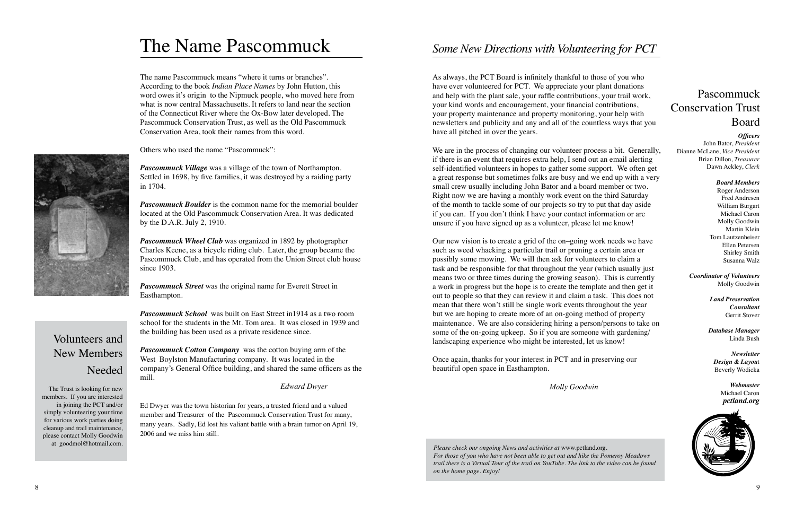### Pascommuck Conservation Trust Board

*Officers*

John Bator, *President* Dianne McLane, *Vice President* Brian Dillon, *Treasurer* Dawn Ackley, *Clerk*

> *Board Members* Roger Anderson Fred Andresen William Burgart Michael Caron Molly Goodwin Martin Klein Tom Lautzenheiser Ellen Petersen Shirley Smith Susanna Walz

*Coordinator of Volunteers* Molly Goodwin

> *Land Preservation Consultant* Gerrit Stover

*Database Manager* Linda Bush

*Newsletter Design & Layou*t Beverly Wodicka

> *Webmaster* Michael Caron *pctland.org*



*Please check our ongoing News and activities at* www.pctland.org. *For those of you who have not been able to get out and hike the Pomeroy Meadows trail there is a Virtual Tour of the trail on YouTube. The link to the video can be found on the home page. Enjoy!*



The name Pascommuck means "where it turns or branches". According to the book *Indian Place Names* by John Hutton, this word owes it's origin to the Nipmuck people, who moved here from what is now central Massachusetts. It refers to land near the section of the Connecticut River where the Ox-Bow later developed. The Pascommuck Conservation Trust, as well as the Old Pascommuck Conservation Area, took their names from this word.

Others who used the name "Pascommuck":

*Pascommuck Village* was a village of the town of Northampton. Settled in 1698, by five families, it was destroyed by a raiding party in 1704.

*Pascommuck Boulder* is the common name for the memorial boulder located at the Old Pascommuck Conservation Area. It was dedicated by the D.A.R. July 2, 1910.

*Pascommuck Wheel Club* was organized in 1892 by photographer Charles Keene, as a bicycle riding club. Later, the group became the Pascommuck Club, and has operated from the Union Street club house since 1903.

*Pascommuck Street* was the original name for Everett Street in Easthampton.

*Pascommuck School* was built on East Street in1914 as a two room school for the students in the Mt. Tom area. It was closed in 1939 and the building has been used as a private residence since.

*Pascommuck Cotton Company* was the cotton buying arm of the West Boylston Manufacturing company. It was located in the company's General Office building, and shared the same officers as the mill.

*Edward Dwyer*

Ed Dwyer was the town historian for years, a trusted friend and a valued member and Treasurer of the Pascommuck Conservation Trust for many, many years. Sadly, Ed lost his valiant battle with a brain tumor on April 19, 2006 and we miss him still.

# The Name Pascommuck

## Volunteers and New Members Needed

The Trust is looking for new members. If you are interested in joining the PCT and/or simply volunteering your time for various work parties doing cleanup and trail maintenance, please contact Molly Goodwin at goodmol@hotmail.com.

As always, the PCT Board is infinitely thankful to those of you who have ever volunteered for PCT. We appreciate your plant donations and help with the plant sale, your raffle contributions, your trail work, your kind words and encouragement, your financial contributions, your property maintenance and property monitoring, your help with newsletters and publicity and any and all of the countless ways that you have all pitched in over the years.

We are in the process of changing our volunteer process a bit. Generally, if there is an event that requires extra help, I send out an email alerting self-identified volunteers in hopes to gather some support. We often get a great response but sometimes folks are busy and we end up with a very small crew usually including John Bator and a board member or two. Right now we are having a monthly work event on the third Saturday of the month to tackle some of our projects so try to put that day aside if you can. If you don't think I have your contact information or are unsure if you have signed up as a volunteer, please let me know!

Our new vision is to create a grid of the on–going work needs we have such as weed whacking a particular trail or pruning a certain area or possibly some mowing. We will then ask for volunteers to claim a task and be responsible for that throughout the year (which usually just means two or three times during the growing season). This is currently a work in progress but the hope is to create the template and then get it out to people so that they can review it and claim a task. This does not mean that there won't still be single work events throughout the year but we are hoping to create more of an on-going method of property maintenance. We are also considering hiring a person/persons to take on some of the on-going upkeep. So if you are someone with gardening/ landscaping experience who might be interested, let us know!

Once again, thanks for your interest in PCT and in preserving our beautiful open space in Easthampton.

 *Molly Goodwin*

## *Some New Directions with Volunteering for PCT*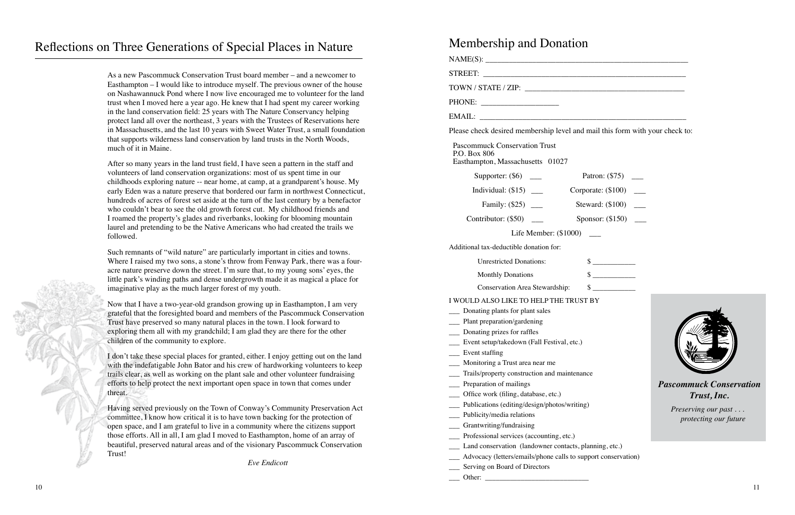## Reflections on Three Generations of Special Places in Nature Membership and Donation

As a new Pascommuck Conservation Trust board member – and a newcomer to Easthampton – I would like to introduce myself. The previous owner of the house on Nashawannuck Pond where I now live encouraged me to volunteer for the land trust when I moved here a year ago. He knew that I had spent my career working in the land conservation field: 25 years with The Nature Conservancy helping protect land all over the northeast, 3 years with the Trustees of Reservations here in Massachusetts, and the last 10 years with Sweet Water Trust, a small foundation that supports wilderness land conservation by land trusts in the North Woods, much of it in Maine.

After so many years in the land trust field, I have seen a pattern in the staff and volunteers of land conservation organizations: most of us spent time in our childhoods exploring nature -- near home, at camp, at a grandparent's house. My early Eden was a nature preserve that bordered our farm in northwest Connecticut, hundreds of acres of forest set aside at the turn of the last century by a benefactor who couldn't bear to see the old growth forest cut. My childhood friends and I roamed the property's glades and riverbanks, looking for blooming mountain laurel and pretending to be the Native Americans who had created the trails we followed.

Such remnants of "wild nature" are particularly important in cities and towns. Where I raised my two sons, a stone's throw from Fenway Park, there was a fouracre nature preserve down the street. I'm sure that, to my young sons' eyes, the little park's winding paths and dense undergrowth made it as magical a place for imaginative play as the much larger forest of my youth.

Now that I have a two-year-old grandson growing up in Easthampton, I am very grateful that the foresighted board and members of the Pascommuck Conservation Trust have preserved so many natural places in the town. I look forward to exploring them all with my grandchild; I am glad they are there for the other children of the community to explore.

I don't take these special places for granted, either. I enjoy getting out on the land with the indefatigable John Bator and his crew of hardworking volunteers to keep trails clear, as well as working on the plant sale and other volunteer fundraising efforts to help protect the next important open space in town that comes under threat.

| I mail this form with your check to: |                                               |
|--------------------------------------|-----------------------------------------------|
|                                      |                                               |
|                                      |                                               |
|                                      |                                               |
| Patron: (\$75)<br>$\sim$ 100 $\mu$   |                                               |
| porate: $(\$100)$ ___                |                                               |
| $eward: ($100) \quad \_\_$           |                                               |
| $\frac{1}{2}$ consor: (\$150) __     |                                               |
|                                      |                                               |
|                                      |                                               |
| $\sim$                               |                                               |
| $\sim$                               |                                               |
| $\sim$                               |                                               |
| T <sub>BY</sub>                      |                                               |
|                                      |                                               |
| nce                                  |                                               |
|                                      | <b>Pascommuck Conservation</b><br>Trust, Inc. |
| g)                                   | Preserving our past<br>protecting our future  |
| planning, etc.)                      |                                               |
| (upport conservation)                |                                               |

Having served previously on the Town of Conway's Community Preservation Act committee, I know how critical it is to have town backing for the protection of open space, and I am grateful to live in a community where the citizens support those efforts. All in all, I am glad I moved to Easthampton, home of an array of beautiful, preserved natural areas and of the visionary Pascommuck Conservation Trust!

 *Eve Endicott*

| Please check desired membership level and mail this form with your check to:<br><b>Pascommuck Conservation Trust</b><br>P.O. Box 806<br>Easthampton, Massachusetts 01027<br>Patron: (\$75) ___<br>Supporter: $(\$6)$ ___<br>Family: $(\$25)$ __<br>Life Member: $(\$1000)$ __<br>Additional tax-deductible donation for:<br>$\frac{\text{S}}{\text{S}}$<br><b>Unrestricted Donations:</b><br>$\frac{1}{\sqrt{2}}$<br><b>Monthly Donations</b><br>$\sim$<br>Conservation Area Stewardship:<br>I WOULD ALSO LIKE TO HELP THE TRUST BY<br>___ Donating plants for plant sales<br>__ Plant preparation/gardening<br>__ Donating prizes for raffles<br>Event setup/takedown (Fall Festival, etc.)<br>Event staffing<br>Monitoring a Trust area near me<br>Trails/property construction and maintenance<br>Preparation of mailings<br><b>Pascomn</b><br>Office work (filing, database, etc.)<br>Publications (editing/design/photos/writing)<br>Preser<br>Publicity/media relations<br>prot<br>Grantwriting/fundraising<br>Professional services (accounting, etc.)<br>Land conservation (landowner contacts, planning, etc.)<br>Advocacy (letters/emails/phone calls to support conservation) | <b>NUCLIFICIALLY ARE DUTATION</b> |  |  |
|------------------------------------------------------------------------------------------------------------------------------------------------------------------------------------------------------------------------------------------------------------------------------------------------------------------------------------------------------------------------------------------------------------------------------------------------------------------------------------------------------------------------------------------------------------------------------------------------------------------------------------------------------------------------------------------------------------------------------------------------------------------------------------------------------------------------------------------------------------------------------------------------------------------------------------------------------------------------------------------------------------------------------------------------------------------------------------------------------------------------------------------------------------------------------------------|-----------------------------------|--|--|
|                                                                                                                                                                                                                                                                                                                                                                                                                                                                                                                                                                                                                                                                                                                                                                                                                                                                                                                                                                                                                                                                                                                                                                                          |                                   |  |  |
|                                                                                                                                                                                                                                                                                                                                                                                                                                                                                                                                                                                                                                                                                                                                                                                                                                                                                                                                                                                                                                                                                                                                                                                          |                                   |  |  |
|                                                                                                                                                                                                                                                                                                                                                                                                                                                                                                                                                                                                                                                                                                                                                                                                                                                                                                                                                                                                                                                                                                                                                                                          |                                   |  |  |
|                                                                                                                                                                                                                                                                                                                                                                                                                                                                                                                                                                                                                                                                                                                                                                                                                                                                                                                                                                                                                                                                                                                                                                                          |                                   |  |  |
|                                                                                                                                                                                                                                                                                                                                                                                                                                                                                                                                                                                                                                                                                                                                                                                                                                                                                                                                                                                                                                                                                                                                                                                          |                                   |  |  |
|                                                                                                                                                                                                                                                                                                                                                                                                                                                                                                                                                                                                                                                                                                                                                                                                                                                                                                                                                                                                                                                                                                                                                                                          |                                   |  |  |
|                                                                                                                                                                                                                                                                                                                                                                                                                                                                                                                                                                                                                                                                                                                                                                                                                                                                                                                                                                                                                                                                                                                                                                                          |                                   |  |  |
|                                                                                                                                                                                                                                                                                                                                                                                                                                                                                                                                                                                                                                                                                                                                                                                                                                                                                                                                                                                                                                                                                                                                                                                          |                                   |  |  |
|                                                                                                                                                                                                                                                                                                                                                                                                                                                                                                                                                                                                                                                                                                                                                                                                                                                                                                                                                                                                                                                                                                                                                                                          |                                   |  |  |
|                                                                                                                                                                                                                                                                                                                                                                                                                                                                                                                                                                                                                                                                                                                                                                                                                                                                                                                                                                                                                                                                                                                                                                                          |                                   |  |  |
|                                                                                                                                                                                                                                                                                                                                                                                                                                                                                                                                                                                                                                                                                                                                                                                                                                                                                                                                                                                                                                                                                                                                                                                          |                                   |  |  |
|                                                                                                                                                                                                                                                                                                                                                                                                                                                                                                                                                                                                                                                                                                                                                                                                                                                                                                                                                                                                                                                                                                                                                                                          |                                   |  |  |
|                                                                                                                                                                                                                                                                                                                                                                                                                                                                                                                                                                                                                                                                                                                                                                                                                                                                                                                                                                                                                                                                                                                                                                                          |                                   |  |  |
|                                                                                                                                                                                                                                                                                                                                                                                                                                                                                                                                                                                                                                                                                                                                                                                                                                                                                                                                                                                                                                                                                                                                                                                          |                                   |  |  |
|                                                                                                                                                                                                                                                                                                                                                                                                                                                                                                                                                                                                                                                                                                                                                                                                                                                                                                                                                                                                                                                                                                                                                                                          |                                   |  |  |
|                                                                                                                                                                                                                                                                                                                                                                                                                                                                                                                                                                                                                                                                                                                                                                                                                                                                                                                                                                                                                                                                                                                                                                                          |                                   |  |  |
|                                                                                                                                                                                                                                                                                                                                                                                                                                                                                                                                                                                                                                                                                                                                                                                                                                                                                                                                                                                                                                                                                                                                                                                          |                                   |  |  |
|                                                                                                                                                                                                                                                                                                                                                                                                                                                                                                                                                                                                                                                                                                                                                                                                                                                                                                                                                                                                                                                                                                                                                                                          |                                   |  |  |
|                                                                                                                                                                                                                                                                                                                                                                                                                                                                                                                                                                                                                                                                                                                                                                                                                                                                                                                                                                                                                                                                                                                                                                                          |                                   |  |  |
|                                                                                                                                                                                                                                                                                                                                                                                                                                                                                                                                                                                                                                                                                                                                                                                                                                                                                                                                                                                                                                                                                                                                                                                          |                                   |  |  |
|                                                                                                                                                                                                                                                                                                                                                                                                                                                                                                                                                                                                                                                                                                                                                                                                                                                                                                                                                                                                                                                                                                                                                                                          |                                   |  |  |
|                                                                                                                                                                                                                                                                                                                                                                                                                                                                                                                                                                                                                                                                                                                                                                                                                                                                                                                                                                                                                                                                                                                                                                                          |                                   |  |  |
|                                                                                                                                                                                                                                                                                                                                                                                                                                                                                                                                                                                                                                                                                                                                                                                                                                                                                                                                                                                                                                                                                                                                                                                          |                                   |  |  |
|                                                                                                                                                                                                                                                                                                                                                                                                                                                                                                                                                                                                                                                                                                                                                                                                                                                                                                                                                                                                                                                                                                                                                                                          |                                   |  |  |
|                                                                                                                                                                                                                                                                                                                                                                                                                                                                                                                                                                                                                                                                                                                                                                                                                                                                                                                                                                                                                                                                                                                                                                                          |                                   |  |  |
|                                                                                                                                                                                                                                                                                                                                                                                                                                                                                                                                                                                                                                                                                                                                                                                                                                                                                                                                                                                                                                                                                                                                                                                          |                                   |  |  |
|                                                                                                                                                                                                                                                                                                                                                                                                                                                                                                                                                                                                                                                                                                                                                                                                                                                                                                                                                                                                                                                                                                                                                                                          |                                   |  |  |
|                                                                                                                                                                                                                                                                                                                                                                                                                                                                                                                                                                                                                                                                                                                                                                                                                                                                                                                                                                                                                                                                                                                                                                                          |                                   |  |  |
|                                                                                                                                                                                                                                                                                                                                                                                                                                                                                                                                                                                                                                                                                                                                                                                                                                                                                                                                                                                                                                                                                                                                                                                          |                                   |  |  |
|                                                                                                                                                                                                                                                                                                                                                                                                                                                                                                                                                                                                                                                                                                                                                                                                                                                                                                                                                                                                                                                                                                                                                                                          |                                   |  |  |
|                                                                                                                                                                                                                                                                                                                                                                                                                                                                                                                                                                                                                                                                                                                                                                                                                                                                                                                                                                                                                                                                                                                                                                                          |                                   |  |  |
|                                                                                                                                                                                                                                                                                                                                                                                                                                                                                                                                                                                                                                                                                                                                                                                                                                                                                                                                                                                                                                                                                                                                                                                          | Serving on Board of Directors     |  |  |

Other: